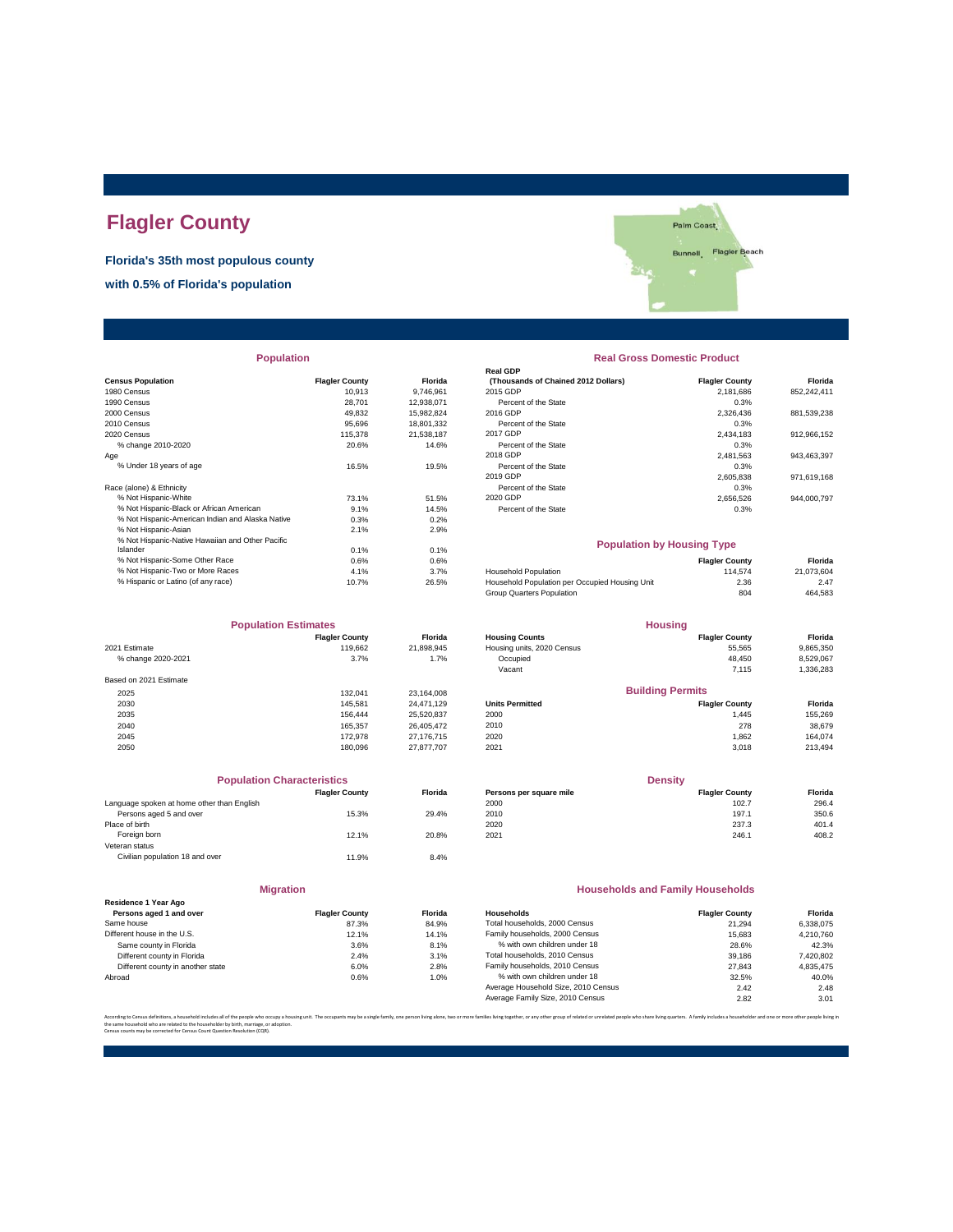# **Flagler County**

**Florida's 35th most populous county**

**with 0.5% of Florida's population**



| <b>Population</b> |  |  |
|-------------------|--|--|
|                   |  |  |

|                                                  |                       |            | neal ODF                                       |                       |             |
|--------------------------------------------------|-----------------------|------------|------------------------------------------------|-----------------------|-------------|
| <b>Census Population</b>                         | <b>Flagler County</b> | Florida    | (Thousands of Chained 2012 Dollars)            | <b>Flagler County</b> | Florida     |
| 1980 Census                                      | 10.913                | 9.746.961  | 2015 GDP                                       | 2,181,686             | 852,242,411 |
| 1990 Census                                      | 28.701                | 12,938,071 | Percent of the State                           | 0.3%                  |             |
| 2000 Census                                      | 49.832                | 15,982,824 | 2016 GDP                                       | 2.326.436             | 881,539,238 |
| 2010 Census                                      | 95.696                | 18,801,332 | Percent of the State                           | 0.3%                  |             |
| 2020 Census                                      | 115,378               | 21,538,187 | 2017 GDP                                       | 2,434,183             | 912,966,152 |
| % change 2010-2020                               | 20.6%                 | 14.6%      | Percent of the State                           | 0.3%                  |             |
| Age                                              |                       |            | 2018 GDP                                       | 2,481,563             | 943,463,397 |
| % Under 18 years of age                          | 16.5%                 | 19.5%      | Percent of the State                           | 0.3%                  |             |
|                                                  |                       |            | 2019 GDP                                       | 2.605.838             | 971,619,168 |
| Race (alone) & Ethnicity                         |                       |            | Percent of the State                           | 0.3%                  |             |
| % Not Hispanic-White                             | 73.1%                 | 51.5%      | 2020 GDP                                       | 2,656,526             | 944,000,797 |
| % Not Hispanic-Black or African American         | 9.1%                  | 14.5%      | Percent of the State                           | 0.3%                  |             |
| % Not Hispanic-American Indian and Alaska Native | 0.3%                  | 0.2%       |                                                |                       |             |
| % Not Hispanic-Asian                             | 2.1%                  | 2.9%       |                                                |                       |             |
| % Not Hispanic-Native Hawaiian and Other Pacific |                       |            | <b>Population by Housing Type</b>              |                       |             |
| Islander                                         | 0.1%                  | 0.1%       |                                                |                       |             |
| % Not Hispanic-Some Other Race                   | 0.6%                  | 0.6%       |                                                | <b>Flagler County</b> | Florida     |
| % Not Hispanic-Two or More Races                 | 4.1%                  | 3.7%       | <b>Household Population</b>                    | 114,574               | 21,073,604  |
| % Hispanic or Latino (of any race)               | 10.7%                 | 26.5%      | Household Population per Occupied Housing Unit | 2.36                  | 2.47        |
|                                                  |                       |            |                                                | $- -$                 | $\cdots$    |

| <b>Population Estimates</b> |                       |                | <b>Housing</b>             |                         |           |
|-----------------------------|-----------------------|----------------|----------------------------|-------------------------|-----------|
|                             | <b>Flagler County</b> | <b>Florida</b> | <b>Housing Counts</b>      | <b>Flagler County</b>   | Florida   |
| 2021 Estimate               | 119,662               | 21,898,945     | Housing units, 2020 Census | 55,565                  | 9,865,350 |
| % change 2020-2021          | 3.7%                  | 1.7%           | Occupied                   | 48.450                  | 8,529,067 |
|                             |                       |                | Vacant                     | 7.115                   | 1,336,283 |
| Based on 2021 Estimate      |                       |                |                            |                         |           |
| 2025                        | 132.041               | 23.164.008     |                            | <b>Building Permits</b> |           |
| 2030                        | 145.581               | 24.471.129     | <b>Units Permitted</b>     | <b>Flagler County</b>   | Florida   |
| 2035                        | 156.444               | 25,520,837     | 2000                       | 1.445                   | 155,269   |
| 2040                        | 165.357               | 26.405.472     | 2010                       | 278                     | 38,679    |
| 2045                        | 172.978               | 27.176.715     | 2020                       | 1.862                   | 164.074   |
| 2050                        | 180.096               | 27.877.707     | 2021                       | 3.018                   | 213,494   |

| <b>Population Characteristics</b>          |                       |                |
|--------------------------------------------|-----------------------|----------------|
|                                            | <b>Flagler County</b> | <b>Florida</b> |
| Language spoken at home other than English |                       |                |
| Persons aged 5 and over                    | 15.3%                 | 29.4%          |
| Place of birth                             |                       |                |
| Foreign born                               | 12.1%                 | 20.8%          |
| Veteran status                             |                       |                |
| Civilian population 18 and over            | 11.9%                 | 8.4%           |
|                                            |                       |                |

|                                                 | <b>Migration</b>      |       |
|-------------------------------------------------|-----------------------|-------|
| Residence 1 Year Ago<br>Persons aged 1 and over | <b>Flagler County</b> | Flori |
| Same house                                      | 87.3%                 | 84.9  |
| Different house in the U.S.                     | 12.1%                 | 14.1  |
| Same county in Florida                          | 3.6%                  | 8.1   |
| Different county in Florida                     | 2.4%                  | 3.1   |
| Different county in another state               | 6.0%                  | 2.8   |
| Abroad                                          | 0.6%                  | 1.0   |

## **Population Real Gross Domestic Product**

| . <u>.</u>                                       |                       |            |                                     |                       |             |  |
|--------------------------------------------------|-----------------------|------------|-------------------------------------|-----------------------|-------------|--|
|                                                  |                       |            | <b>Real GDP</b>                     |                       |             |  |
| sus Population                                   | <b>Flagler County</b> | Florida    | (Thousands of Chained 2012 Dollars) | <b>Flagler County</b> | Florida     |  |
| 0 Census                                         | 10.913                | 9.746.961  | 2015 GDP                            | 2.181.686             | 852.242.411 |  |
| 0 Census                                         | 28.701                | 12.938.071 | Percent of the State                | 0.3%                  |             |  |
| 0 Census                                         | 49.832                | 15,982,824 | 2016 GDP                            | 2,326,436             | 881,539,238 |  |
| 0 Census                                         | 95.696                | 18.801.332 | Percent of the State                | 0.3%                  |             |  |
| 0 Census                                         | 115,378               | 21.538.187 | 2017 GDP                            | 2.434.183             | 912,966,152 |  |
| % change 2010-2020                               | 20.6%                 | 14.6%      | Percent of the State                | 0.3%                  |             |  |
|                                                  |                       |            | 2018 GDP                            | 2.481.563             | 943,463,397 |  |
| % Under 18 years of age                          | 16.5%                 | 19.5%      | Percent of the State                | 0.3%                  |             |  |
|                                                  |                       |            | 2019 GDP                            | 2.605.838             | 971.619.168 |  |
| e (alone) & Ethnicity                            |                       |            | Percent of the State                | 0.3%                  |             |  |
| % Not Hispanic-White                             | 73.1%                 | 51.5%      | 2020 GDP                            | 2.656.526             | 944.000.797 |  |
| % Not Hispanic-Black or African American         | 9.1%                  | 14.5%      | Percent of the State                | 0.3%                  |             |  |
| % Not Hispanic-American Indian and Alaska Native | 0.3%                  | 0.2%       |                                     |                       |             |  |
|                                                  |                       |            |                                     |                       |             |  |

#### **Population by Housing Type**

| % Not Hispanic-Some Other Race     | 0.6%  | 0.6%  |                                                | <b>Flagler County</b> | Florida    |
|------------------------------------|-------|-------|------------------------------------------------|-----------------------|------------|
| % Not Hispanic-Two or More Races   | 4.1%  | 3.7%  | <b>Household Population</b>                    | 114.574               | 21.073.604 |
| % Hispanic or Latino (of any race) | 10.7% | 26.5% | Household Population per Occupied Housing Unit | 2.36                  | 2.47       |
|                                    |       |       | Group Quarters Population                      | 804                   | 464,583    |
|                                    |       |       |                                                |                       |            |

| <b>Population Estimates</b> |                       |                | <b>Housing</b>             |                         |           |
|-----------------------------|-----------------------|----------------|----------------------------|-------------------------|-----------|
|                             | <b>Flagler County</b> | <b>Florida</b> | <b>Housing Counts</b>      | <b>Flagler County</b>   | Florida   |
| 2021 Estimate               | 119.662               | 21,898,945     | Housing units, 2020 Census | 55.565                  | 9,865,350 |
| % change 2020-2021          | 3.7%                  | 1.7%           | Occupied                   | 48.450                  | 8,529,067 |
|                             |                       |                | Vacant                     | 7.115                   | 1,336,283 |
| Based on 2021 Estimate      |                       |                |                            |                         |           |
| 2025                        | 132.041               | 23,164,008     |                            | <b>Building Permits</b> |           |
| 2030                        | 145.581               | 24.471.129     | <b>Units Permitted</b>     | <b>Flagler County</b>   | Florida   |
| 2035                        | 156.444               | 25.520.837     | 2000                       | 1.445                   | 155,269   |
| 2040                        | 165.357               | 26.405.472     | 2010                       | 278                     | 38,679    |
| 2045                        | 172,978               | 27.176.715     | 2020                       | 1.862                   | 164.074   |
|                             |                       |                |                            |                         |           |

| <b>Population Characteristics</b> |                |                         | <b>Density</b>        |         |  |
|-----------------------------------|----------------|-------------------------|-----------------------|---------|--|
| <b>Flagler County</b>             | <b>Florida</b> | Persons per square mile | <b>Flagler County</b> | Florida |  |
|                                   |                | 2000                    | 102.7                 | 296.4   |  |
| 15.3%                             | 29.4%          | 2010                    | 197.1                 | 350.6   |  |
|                                   |                | 2020                    | 237.3                 | 401.4   |  |
| 12.1%                             | 20.8%          | 2021                    | 246.1                 | 408.2   |  |
|                                   |                |                         |                       |         |  |

#### **Households and Family Households**

| <b>Flagler County</b> | <b>Florida</b> | Households                          | <b>Flagler County</b> | Florida   |
|-----------------------|----------------|-------------------------------------|-----------------------|-----------|
| 87.3%                 | 84.9%          | Total households, 2000 Census       | 21.294                | 6.338.075 |
| 12.1%                 | 14.1%          | Family households, 2000 Census      | 15.683                | 4.210.760 |
| 3.6%                  | 8.1%           | % with own children under 18        | 28.6%                 | 42.3%     |
| 2.4%                  | 3.1%           | Total households, 2010 Census       | 39.186                | 7,420,802 |
| 6.0%                  | 2.8%           | Family households, 2010 Census      | 27.843                | 4.835.475 |
| 0.6%                  | 1.0%           | % with own children under 18        | 32.5%                 | 40.0%     |
|                       |                | Average Household Size, 2010 Census | 2.42                  | 2.48      |
|                       |                | Average Family Size, 2010 Census    | 2.82                  | 3.01      |
|                       |                |                                     |                       |           |

.<br>ether, or any other group of related or unrelated people who share living quarters. A family includes a householder and one or more other pe the same household who are related to the householder by birth, marriage, or adoption. Census counts may be corrected for Census Count Question Resolution (CQR).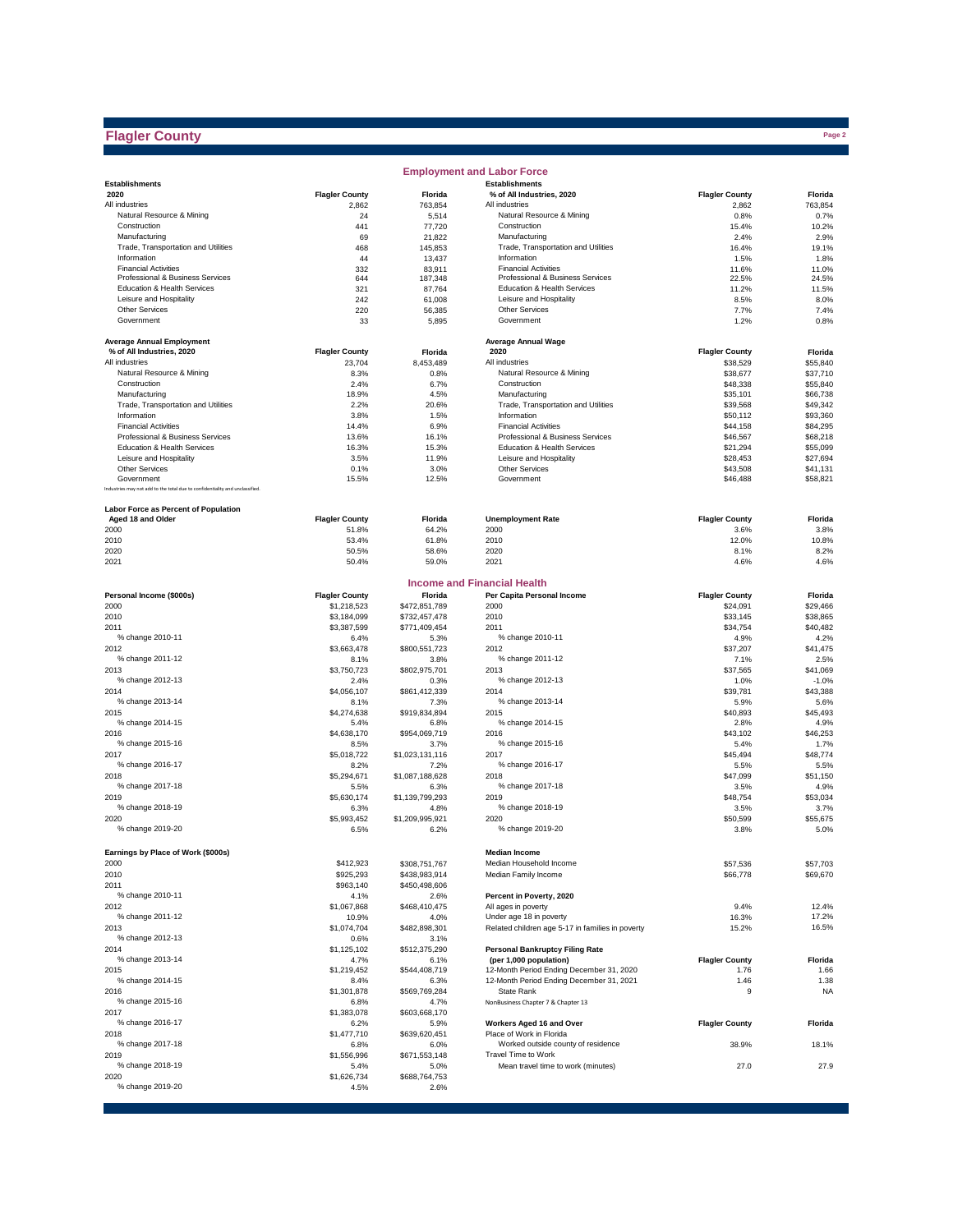# **Flagler County**

|                                                                              |                       |                         | <b>Employment and Labor Force</b>                         |                       |                      |
|------------------------------------------------------------------------------|-----------------------|-------------------------|-----------------------------------------------------------|-----------------------|----------------------|
| <b>Establishments</b>                                                        |                       |                         | <b>Establishments</b>                                     |                       |                      |
| 2020                                                                         | <b>Flagler County</b> | Florida                 | % of All Industries, 2020                                 | <b>Flagler County</b> | Florida              |
| All industries<br>Natural Resource & Mining                                  | 2,862<br>24           | 763,854<br>5,514        | All industries<br>Natural Resource & Mining               | 2,862<br>0.8%         | 763,854<br>0.7%      |
| Construction                                                                 | 441                   | 77,720                  | Construction                                              | 15.4%                 | 10.2%                |
| Manufacturing                                                                | 69                    | 21,822                  | Manufacturing                                             | 2.4%                  | 2.9%                 |
| Trade, Transportation and Utilities                                          | 468                   | 145,853                 | Trade. Transportation and Utilities                       | 16.4%                 | 19.1%                |
| Information                                                                  | 44                    | 13,437                  | Information                                               | 1.5%                  | 1.8%                 |
| <b>Financial Activities</b>                                                  | 332                   | 83,911                  | <b>Financial Activities</b>                               | 11.6%                 | 11.0%                |
| Professional & Business Services                                             | 644                   | 187,348                 | Professional & Business Services                          | 22.5%                 | 24.5%                |
| Education & Health Services<br>Leisure and Hospitality                       | 321<br>242            | 87,764                  | Education & Health Services<br>Leisure and Hospitality    | 11.2%<br>8.5%         | 11.5%<br>8.0%        |
| <b>Other Services</b>                                                        | 220                   | 61,008<br>56,385        | <b>Other Services</b>                                     | 7.7%                  | 7.4%                 |
| Government                                                                   | 33                    | 5,895                   | Government                                                | 1.2%                  | 0.8%                 |
|                                                                              |                       |                         |                                                           |                       |                      |
| <b>Average Annual Employment</b>                                             |                       |                         | <b>Average Annual Wage</b>                                |                       |                      |
| % of All Industries, 2020                                                    | <b>Flagler County</b> | Florida                 | 2020                                                      | <b>Flagler County</b> | Florida              |
| All industries                                                               | 23,704                | 8,453,489               | All industries                                            | \$38,529              | \$55,840             |
| Natural Resource & Mining                                                    | 8.3%                  | 0.8%                    | Natural Resource & Mining                                 | \$38,677              | \$37,710             |
| Construction                                                                 | 2.4%                  | 6.7%                    | Construction                                              | \$48,338              | \$55,840             |
| Manufacturing                                                                | 18.9%                 | 4.5%                    | Manufacturing                                             | \$35,101              | \$66,738             |
| Trade, Transportation and Utilities<br>Information                           | 2.2%<br>3.8%          | 20.6%<br>1.5%           | Trade, Transportation and Utilities<br>Information        | \$39,568<br>\$50,112  | \$49,342<br>\$93,360 |
| <b>Financial Activities</b>                                                  | 14.4%                 | 6.9%                    | <b>Financial Activities</b>                               | \$44,158              | \$84,295             |
| Professional & Business Services                                             | 13.6%                 | 16.1%                   | Professional & Business Services                          | \$46,567              | \$68,218             |
| Education & Health Services                                                  | 16.3%                 | 15.3%                   | Education & Health Services                               | \$21,294              | \$55,099             |
| Leisure and Hospitality                                                      | 3.5%                  | 11.9%                   | Leisure and Hospitality                                   | \$28,453              | \$27,694             |
| <b>Other Services</b>                                                        | 0.1%                  | 3.0%                    | <b>Other Services</b>                                     | \$43,508              | \$41,131             |
| Government                                                                   | 15.5%                 | 12.5%                   | Government                                                | \$46,488              | \$58,821             |
| Industries may not add to the total due to confidentiality and unclassified. |                       |                         |                                                           |                       |                      |
| Labor Force as Percent of Population                                         |                       |                         |                                                           |                       |                      |
| Aged 18 and Older                                                            | <b>Flagler County</b> | Florida                 | <b>Unemployment Rate</b>                                  | <b>Flagler County</b> | Florida              |
| 2000                                                                         | 51.8%                 | 64.2%                   | 2000                                                      | 3.6%                  | 3.8%                 |
| 2010                                                                         | 53.4%                 | 61.8%                   | 2010                                                      | 12.0%                 | 10.8%                |
| 2020                                                                         | 50.5%                 | 58.6%                   | 2020                                                      | 8.1%                  | 8.2%                 |
| 2021                                                                         | 50.4%                 | 59.0%                   | 2021                                                      | 4.6%                  | 4.6%                 |
|                                                                              |                       |                         | <b>Income and Financial Health</b>                        |                       |                      |
| Personal Income (\$000s)                                                     | <b>Flagler County</b> | Florida                 | Per Capita Personal Income                                | <b>Flagler County</b> | Florida              |
| 2000                                                                         | \$1,218,523           | \$472,851,789           | 2000                                                      | \$24,091              | \$29,466             |
| 2010                                                                         | \$3,184,099           | \$732,457,478           | 2010                                                      | \$33,145              | \$38,865             |
| 2011                                                                         | \$3,387,599           | \$771,409,454           | 2011<br>% change 2010-11                                  | \$34,754              | \$40,482             |
| % change 2010-11                                                             | 6.4%<br>\$3,663,478   | 5.3%                    |                                                           | 4.9%<br>\$37,207      | 4.2%<br>\$41,475     |
| 2012<br>% change 2011-12                                                     | 8.1%                  | \$800,551,723<br>3.8%   | 2012<br>% change 2011-12                                  | 7.1%                  | 2.5%                 |
| 2013                                                                         | \$3,750,723           | \$802,975,701           | 2013                                                      | \$37,565              | \$41,069             |
| % change 2012-13                                                             | 2.4%                  | 0.3%                    | % change 2012-13                                          | 1.0%                  | $-1.0%$              |
| 2014                                                                         | \$4,056,107           | \$861,412,339           | 2014                                                      | \$39,781              | \$43,388             |
| % change 2013-14                                                             | 8.1%                  | 7.3%                    | % change 2013-14                                          | 5.9%                  | 5.6%                 |
| 2015                                                                         | \$4,274,638           | \$919,834,894           | 2015                                                      | \$40,893              | \$45,493             |
| % change 2014-15                                                             | 5.4%                  | 6.8%                    | % change 2014-15                                          | 2.8%                  | 4.9%                 |
| 2016                                                                         | \$4,638,170           | \$954,069,719           | 2016                                                      | \$43,102              | \$46,253             |
| % change 2015-16                                                             | 8.5%                  | 3.7%                    | % change 2015-16                                          | 5.4%                  | 1.7%                 |
| 2017                                                                         | \$5,018,722           | \$1,023,131,116         | 2017                                                      | \$45,494              | \$48,774             |
| % change 2016-17                                                             | 8.2%                  | 7.2%                    | % change 2016-17                                          | 5.5%                  | 5.5%                 |
| 2018                                                                         | \$5,294,671           | \$1,087,188,628         | 2018                                                      | \$47,099              | \$51,150             |
| % change 2017-18                                                             | 5.5%                  | 6.3%                    | % change 2017-18                                          | 3.5%                  | 4.9%                 |
| 2019<br>% change 2018-19                                                     | \$5,630,174           | \$1,139,799,293         | 2019<br>% change 2018-19                                  | \$48,754<br>3.5%      | \$53,034<br>3.7%     |
| 2020                                                                         | 6.3%<br>\$5.993.452   | 4.8%<br>\$1,209,995.921 | 2020                                                      | \$50,599              | \$55.675             |
| % change 2019-20                                                             | 6.5%                  | 6.2%                    | % change 2019-20                                          | 3.8%                  | 5.0%                 |
|                                                                              |                       |                         |                                                           |                       |                      |
| Earnings by Place of Work (\$000s)                                           |                       |                         | <b>Median Income</b>                                      |                       |                      |
| 2000                                                                         | \$412,923             | \$308,751,767           | Median Household Income                                   | \$57,536              | \$57,703             |
| 2010                                                                         | \$925,293             | \$438,983,914           | Median Family Income                                      | \$66,778              | \$69,670             |
| 2011<br>% change 2010-11                                                     | \$963,140             | \$450,498,606           | Percent in Poverty, 2020                                  |                       |                      |
| 2012                                                                         | 4.1%<br>\$1,067,868   | 2.6%<br>\$468,410,475   | All ages in poverty                                       | 9.4%                  | 12.4%                |
| % change 2011-12                                                             | 10.9%                 | 4.0%                    | Under age 18 in poverty                                   | 16.3%                 | 17.2%                |
| 2013                                                                         | \$1,074,704           | \$482,898,301           | Related children age 5-17 in families in poverty          | 15.2%                 | 16.5%                |
| % change 2012-13                                                             | 0.6%                  | 3.1%                    |                                                           |                       |                      |
| 2014                                                                         | \$1,125,102           | \$512,375,290           | <b>Personal Bankruptcy Filing Rate</b>                    |                       |                      |
| % change 2013-14                                                             | 4.7%                  | 6.1%                    | (per 1,000 population)                                    | <b>Flagler County</b> | Florida              |
| 2015                                                                         | \$1,219,452           | \$544,408,719           | 12-Month Period Ending December 31, 2020                  | 1.76                  | 1.66                 |
| % change 2014-15                                                             | 8.4%                  | 6.3%                    | 12-Month Period Ending December 31, 2021                  | 1.46                  | 1.38                 |
| 2016                                                                         | \$1,301,878           | \$569,769,284           | State Rank                                                | 9                     | <b>NA</b>            |
| % change 2015-16                                                             | 6.8%                  | 4.7%                    | NonBusiness Chapter 7 & Chapter 13                        |                       |                      |
| 2017                                                                         | \$1,383,078           | \$603,668,170           |                                                           |                       |                      |
| % change 2016-17                                                             | 6.2%                  | 5.9%                    | Workers Aged 16 and Over                                  | <b>Flagler County</b> | Florida              |
| 2018                                                                         | \$1,477,710           | \$639,620,451           | Place of Work in Florida                                  |                       |                      |
| % change 2017-18                                                             | 6.8%                  | 6.0%                    | Worked outside county of residence<br>Travel Time to Work | 38.9%                 | 18.1%                |
| 2019<br>% change 2018-19                                                     | \$1,556,996           | \$671,553,148           |                                                           | 27.0                  | 27.9                 |
| 2020                                                                         | 5.4%<br>\$1,626,734   | 5.0%<br>\$688,764,753   | Mean travel time to work (minutes)                        |                       |                      |
| % change 2019-20                                                             | 4.5%                  | 2.6%                    |                                                           |                       |                      |